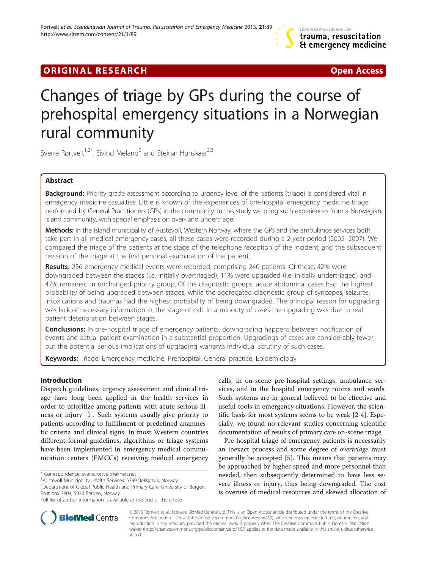# **ORIGINAL RESEARCH CONSUMING A RESEARCH CONSUMING A RESEARCH**

# Changes of triage by GPs during the course of prehospital emergency situations in a Norwegian rural community

Sverre Rørtveit<sup>1,2\*</sup>, Eivind Meland<sup>2</sup> and Steinar Hunskaar<sup>2,3</sup>

# Abstract

Background: Priority grade assessment according to urgency level of the patients (triage) is considered vital in emergency medicine casualties. Little is known of the experiences of pre-hospital emergency medicine triage performed by General Practitioners (GPs) in the community. In this study we bring such experiences from a Norwegian island community, with special emphasis on over- and undertriage.

Methods: In the island municipality of Austevoll, Western Norway, where the GPs and the ambulance services both take part in all medical emergency cases, all these cases were recorded during a 2-year period (2005–2007). We compared the triage of the patients at the stage of the telephone reception of the incident, and the subsequent revision of the triage at the first personal examination of the patient.

Results: 236 emergency medical events were recorded, comprising 240 patients. Of these, 42% were downgraded between the stages (i.e. initially overtriaged), 11% were upgraded (i.e. initially undertriaged) and 47% remained in unchanged priority group. Of the diagnostic groups, acute abdominal cases had the highest probability of being upgraded between stages, while the aggregated diagnostic group of syncopes, seizures, intoxications and traumas had the highest probability of being downgraded. The principal reason for upgrading was lack of necessary information at the stage of call. In a minority of cases the upgrading was due to real patient deterioration between stages.

**Conclusions:** In pre-hospital triage of emergency patients, downgrading happens between notification of events and actual patient examination in a substantial proportion. Upgradings of cases are considerably fewer, but the potential serious implications of upgrading warrants individual scrutiny of such cases.

Keywords: Triage, Emergency medicine, Prehospital, General practice, Epidemiology

# Introduction

Dispatch guidelines, urgency assessment and clinical triage have long been applied in the health services in order to prioritize among patients with acute serious illness or injury [[1\]](#page-5-0). Such systems usually give priority to patients according to fulfillment of predefined anamnestic criteria and clinical signs. In most Western countries different formal guidelines, algorithms or triage systems have been implemented in emergency medical communication centers (EMCCs) receiving medical emergency

calls, in on-scene pre-hospital settings, ambulance services, and in the hospital emergency rooms and wards. Such systems are in general believed to be effective and useful tools in emergency situations. However, the scientific basis for most systems seems to be weak [\[2-4](#page-5-0)]. Especially, we found no relevant studies concerning scientific documentation of results of primary care on-scene triage.

Pre-hospital triage of emergency patients is necessarily an inexact process and some degree of overtriage must generally be accepted [\[5](#page-5-0)]. This means that patients may be approached by higher speed and more personnel than needed, then subsequently determined to have less severe illness or injury, thus being downgraded. The cost is overuse of medical resources and skewed allocation of



© 2013 Rørtveit et al.; licensee BioMed Central Ltd. This is an Open Access article distributed under the terms of the Creative Commons Attribution License [\(http://creativecommons.org/licenses/by/2.0\)](http://creativecommons.org/licenses/by/2.0), which permits unrestricted use, distribution, and reproduction in any medium, provided the original work is properly cited. The Creative Commons Public Domain Dedication waiver [\(http://creativecommons.org/publicdomain/zero/1.0/\)](http://creativecommons.org/publicdomain/zero/1.0/) applies to the data made available in this article, unless otherwise stated.

<sup>\*</sup> Correspondence: [sverre.rortveit@aknett.net](mailto:sverre.rortveit@aknett.net) <sup>1</sup>

<sup>&</sup>lt;sup>1</sup> Austevoll Municipality Health Services, 5399 Bekkjarvik, Norway

<sup>&</sup>lt;sup>2</sup> Department of Global Public Health and Primary Care, University of Bergen, Post box 7804, 5020 Bergen, Norway

Full list of author information is available at the end of the article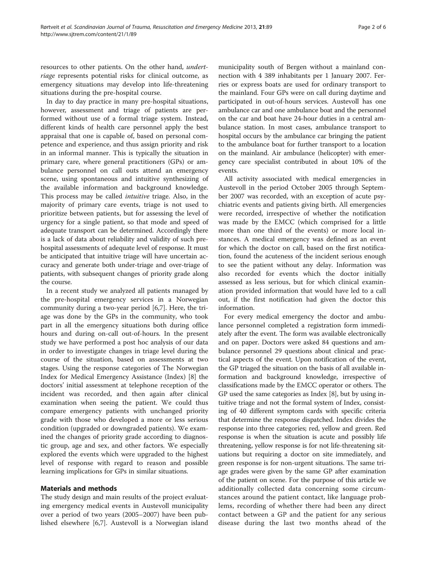resources to other patients. On the other hand, undertriage represents potential risks for clinical outcome, as emergency situations may develop into life-threatening situations during the pre-hospital course.

In day to day practice in many pre-hospital situations, however, assessment and triage of patients are performed without use of a formal triage system. Instead, different kinds of health care personnel apply the best appraisal that one is capable of, based on personal competence and experience, and thus assign priority and risk in an informal manner. This is typically the situation in primary care, where general practitioners (GPs) or ambulance personnel on call outs attend an emergency scene, using spontaneous and intuitive synthesizing of the available information and background knowledge. This process may be called intuitive triage. Also, in the majority of primary care events, triage is not used to prioritize between patients, but for assessing the level of urgency for a single patient, so that mode and speed of adequate transport can be determined. Accordingly there is a lack of data about reliability and validity of such prehospital assessments of adequate level of response. It must be anticipated that intuitive triage will have uncertain accuracy and generate both under-triage and over-triage of patients, with subsequent changes of priority grade along the course.

In a recent study we analyzed all patients managed by the pre-hospital emergency services in a Norwegian community during a two-year period [[6,7\]](#page-5-0). Here, the triage was done by the GPs in the community, who took part in all the emergency situations both during office hours and during on-call out-of-hours. In the present study we have performed a post hoc analysis of our data in order to investigate changes in triage level during the course of the situation, based on assessments at two stages. Using the response categories of The Norwegian Index for Medical Emergency Assistance (Index) [[8\]](#page-5-0) the doctors' initial assessment at telephone reception of the incident was recorded, and then again after clinical examination when seeing the patient. We could thus compare emergency patients with unchanged priority grade with those who developed a more or less serious condition (upgraded or downgraded patients). We examined the changes of priority grade according to diagnostic group, age and sex, and other factors. We especially explored the events which were upgraded to the highest level of response with regard to reason and possible learning implications for GPs in similar situations.

# Materials and methods

The study design and main results of the project evaluating emergency medical events in Austevoll municipality over a period of two years (2005–2007) have been published elsewhere [[6,7\]](#page-5-0). Austevoll is a Norwegian island

municipality south of Bergen without a mainland connection with 4 389 inhabitants per 1 January 2007. Ferries or express boats are used for ordinary transport to the mainland. Four GPs were on call during daytime and participated in out-of-hours services. Austevoll has one ambulance car and one ambulance boat and the personnel on the car and boat have 24-hour duties in a central ambulance station. In most cases, ambulance transport to hospital occurs by the ambulance car bringing the patient to the ambulance boat for further transport to a location on the mainland. Air ambulance (helicopter) with emergency care specialist contributed in about 10% of the events.

All activity associated with medical emergencies in Austevoll in the period October 2005 through September 2007 was recorded, with an exception of acute psychiatric events and patients giving birth. All emergencies were recorded, irrespective of whether the notification was made by the EMCC (which comprised for a little more than one third of the events) or more local instances. A medical emergency was defined as an event for which the doctor on call, based on the first notification, found the acuteness of the incident serious enough to see the patient without any delay. Information was also recorded for events which the doctor initially assessed as less serious, but for which clinical examination provided information that would have led to a call out, if the first notification had given the doctor this information.

For every medical emergency the doctor and ambulance personnel completed a registration form immediately after the event. The form was available electronically and on paper. Doctors were asked 84 questions and ambulance personnel 29 questions about clinical and practical aspects of the event. Upon notification of the event, the GP triaged the situation on the basis of all available information and background knowledge, irrespective of classifications made by the EMCC operator or others. The GP used the same categories as Index [\[8\]](#page-5-0), but by using intuitive triage and not the formal system of Index, consisting of 40 different symptom cards with specific criteria that determine the response dispatched. Index divides the response into three categories; red, yellow and green. Red response is when the situation is acute and possibly life threatening, yellow response is for not life-threatening situations but requiring a doctor on site immediately, and green response is for non-urgent situations. The same triage grades were given by the same GP after examination of the patient on scene. For the purpose of this article we additionally collected data concerning some circumstances around the patient contact, like language problems, recording of whether there had been any direct contact between a GP and the patient for any serious disease during the last two months ahead of the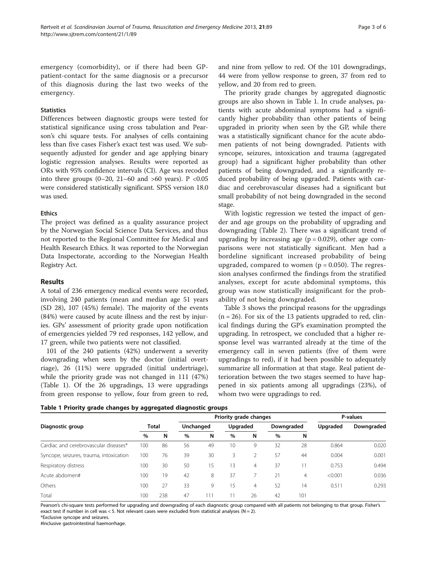emergency (comorbidity), or if there had been GPpatient-contact for the same diagnosis or a precursor of this diagnosis during the last two weeks of the emergency.

# **Statistics**

Differences between diagnostic groups were tested for statistical significance using cross tabulation and Pearson's chi square tests. For analyses of cells containing less than five cases Fisher's exact test was used. We subsequently adjusted for gender and age applying binary logistic regression analyses. Results were reported as ORs with 95% confidence intervals (CI). Age was recoded into three groups  $(0-20, 21-60, 210)$  and  $>60$  years). P <0.05 were considered statistically significant. SPSS version 18.0 was used.

# **Ethics**

The project was defined as a quality assurance project by the Norwegian Social Science Data Services, and thus not reported to the Regional Committee for Medical and Health Research Ethics. It was reported to the Norwegian Data Inspectorate, according to the Norwegian Health Registry Act.

# Results

A total of 236 emergency medical events were recorded, involving 240 patients (mean and median age 51 years (SD 28), 107 (45%) female). The majority of the events (84%) were caused by acute illness and the rest by injuries. GPs' assessment of priority grade upon notification of emergencies yielded 79 red responses, 142 yellow, and 17 green, while two patients were not classified.

101 of the 240 patients (42%) underwent a severity downgrading when seen by the doctor (initial overtriage), 26 (11%) were upgraded (initial undertriage), while the priority grade was not changed in 111 (47%) (Table 1). Of the 26 upgradings, 13 were upgradings from green response to yellow, four from green to red,

and nine from yellow to red. Of the 101 downgradings, 44 were from yellow response to green, 37 from red to yellow, and 20 from red to green.

The priority grade changes by aggregated diagnostic groups are also shown in Table 1. In crude analyses, patients with acute abdominal symptoms had a significantly higher probability than other patients of being upgraded in priority when seen by the GP, while there was a statistically significant chance for the acute abdomen patients of not being downgraded. Patients with syncope, seizures, intoxication and trauma (aggregated group) had a significant higher probability than other patients of being downgraded, and a significantly reduced probability of being upgraded. Patients with cardiac and cerebrovascular diseases had a significant but small probability of not being downgraded in the second stage.

With logistic regression we tested the impact of gender and age groups on the probability of upgrading and downgrading (Table [2\)](#page-3-0). There was a significant trend of upgrading by increasing age ( $p = 0.029$ ), other age comparisons were not statistically significant. Men had a bordeline significant increased probability of being upgraded, compared to women  $(p = 0.050)$ . The regression analyses confirmed the findings from the stratified analyses, except for acute abdominal symptoms, this group was now statistically insignificant for the probability of not being downgraded.

Table [3](#page-3-0) shows the principal reasons for the upgradings  $(n = 26)$ . For six of the 13 patients upgraded to red, clinical findings during the GP's examination prompted the upgrading. In retrospect, we concluded that a higher response level was warranted already at the time of the emergency call in seven patients (five of them were upgradings to red), if it had been possible to adequately summarize all information at that stage. Real patient deterioration between the two stages seemed to have happened in six patients among all upgradings (23%), of whom two were upgradings to red.

### Table 1 Priority grade changes by aggregated diagnostic groups

|                                         | Priority grade changes |     |           |     |                 |                |            | P-values |          |            |
|-----------------------------------------|------------------------|-----|-----------|-----|-----------------|----------------|------------|----------|----------|------------|
| Diagnostic group                        | <b>Total</b>           |     | Unchanged |     | Upgraded        |                | Downgraded |          | Upgraded | Downgraded |
|                                         | %                      | N   | $\%$      | N   | %               | N              | $\%$       | N        |          |            |
| Cardiac and cerebrovascular diseases*   | 100                    | 86  | 56        | 49  | 10 <sup>°</sup> | 9              | 32         | 28       | 0.864    | 0.020      |
| Syncope, seizures, trauma, intoxication | 100                    | 76  | 39        | 30  | 3               |                | 57         | 44       | 0.004    | 0.001      |
| Respiratory distress                    | 100                    | 30  | 50        | 15  | 13              | $\overline{4}$ | 37         |          | 0.753    | 0.494      |
| Acute abdomen#                          | 100                    | 19  | 42        | 8   | 37              |                | 21         | 4        | < 0.001  | 0.036      |
| Others                                  | 100                    | 27  | 33        | 9   | 15              | 4              | 52         | 14       | 0.511    | 0.293      |
| Total                                   | 100                    | 238 | 47        | 111 | $\overline{1}$  | 26             | 42         | 101      |          |            |

Pearson's chi-square tests performed for upgrading and downgrading of each diagnostic group compared with all patients not belonging to that group. Fisher's exact test if number in cell was < 5. Not relevant cases were excluded from statistical analyses (N = 2).

\*Exclusive syncope and seizures.

#Inclusive gastrointestinal haemorrhage.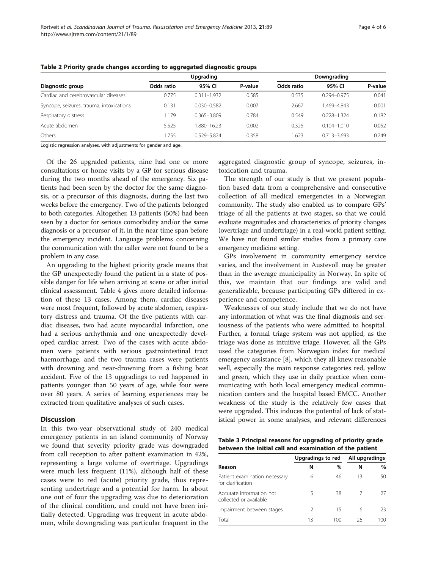|                                          |            | Upgrading       | Downgrading |            |                 |         |
|------------------------------------------|------------|-----------------|-------------|------------|-----------------|---------|
| Diagnostic group                         | Odds ratio | 95% CI          | P-value     | Odds ratio | 95% CI          | P-value |
| Cardiac and cerebrovascular diseases     | 0.775      | $0.311 - 1.932$ | 0.585       | 0.535      | $0.294 - 0.975$ | 0.041   |
| Syncope, seizures, trauma, intoxications | 0.131      | $0.030 - 0.582$ | 0.007       | 2.667      | 1.469-4.843     | 0.001   |
| Respiratory distress                     | 1.179      | $0.365 - 3.809$ | 0.784       | 0.549      | $0.228 - 1.324$ | 0.182   |
| Acute abdomen                            | 5.525      | 1.880-16.23     | 0.002       | 0.325      | $0.104 - 1.010$ | 0.052   |
| Others                                   | 1.755      | 0.529-5.824     | 0.358       | .623       | $0.713 - 3.693$ | 0.249   |

<span id="page-3-0"></span>Table 2 Priority grade changes according to aggregated diagnostic groups

Logistic regression analyses, with adjustments for gender and age.

Of the 26 upgraded patients, nine had one or more consultations or home visits by a GP for serious disease during the two months ahead of the emergency. Six patients had been seen by the doctor for the same diagnosis, or a precursor of this diagnosis, during the last two weeks before the emergency. Two of the patients belonged to both categories. Altogether, 13 patients (50%) had been seen by a doctor for serious comorbidity and/or the same diagnosis or a precursor of it, in the near time span before the emergency incident. Language problems concerning the communication with the caller were not found to be a problem in any case.

An upgrading to the highest priority grade means that the GP unexpectedly found the patient in a state of possible danger for life when arriving at scene or after initial clinical assessment. Table [4](#page-4-0) gives more detailed information of these 13 cases. Among them, cardiac diseases were most frequent, followed by acute abdomen, respiratory distress and trauma. Of the five patients with cardiac diseases, two had acute myocardial infarction, one had a serious arrhythmia and one unexpectedly developed cardiac arrest. Two of the cases with acute abdomen were patients with serious gastrointestinal tract haemorrhage, and the two trauma cases were patients with drowning and near-drowning from a fishing boat accident. Five of the 13 upgradings to red happened in patients younger than 50 years of age, while four were over 80 years. A series of learning experiences may be extracted from qualitative analyses of such cases.

# **Discussion**

In this two-year observational study of 240 medical emergency patients in an island community of Norway we found that severity priority grade was downgraded from call reception to after patient examination in 42%, representing a large volume of overtriage. Upgradings were much less frequent (11%), although half of these cases were to red (acute) priority grade, thus representing undertriage and a potential for harm. In about one out of four the upgrading was due to deterioration of the clinical condition, and could not have been initially detected. Upgrading was frequent in acute abdomen, while downgrading was particular frequent in the

aggregated diagnostic group of syncope, seizures, intoxication and trauma.

The strength of our study is that we present population based data from a comprehensive and consecutive collection of all medical emergencies in a Norwegian community. The study also enabled us to compare GPs' triage of all the patients at two stages, so that we could evaluate magnitudes and characteristics of priority changes (overtriage and undertriage) in a real-world patient setting. We have not found similar studies from a primary care emergency medicine setting.

GPs involvement in community emergency service varies, and the involvement in Austevoll may be greater than in the average municipality in Norway. In spite of this, we maintain that our findings are valid and generalizable, because participating GPs differed in experience and competence.

Weaknesses of our study include that we do not have any information of what was the final diagnosis and seriousness of the patients who were admitted to hospital. Further, a formal triage system was not applied, as the triage was done as intuitive triage. However, all the GPs used the categories from Norwegian index for medical emergency assistance [[8\]](#page-5-0), which they all knew reasonable well, especially the main response categories red, yellow and green, which they use in daily practice when communicating with both local emergency medical communication centers and the hospital based EMCC. Another weakness of the study is the relatively few cases that were upgraded. This induces the potential of lack of statistical power in some analyses, and relevant differences

Table 3 Principal reasons for upgrading of priority grade between the initial call and examination of the patient

|                          | All upgradings |                   |      |
|--------------------------|----------------|-------------------|------|
| N                        | $\%$           | N                 | $\%$ |
| 6                        | 46             | 13                | 50   |
| $\overline{\phantom{a}}$ | 38             |                   | 27   |
| 2                        | 15             | 6                 | 23   |
| 13                       | 100            | 26                | 100  |
|                          |                | Upgradings to red |      |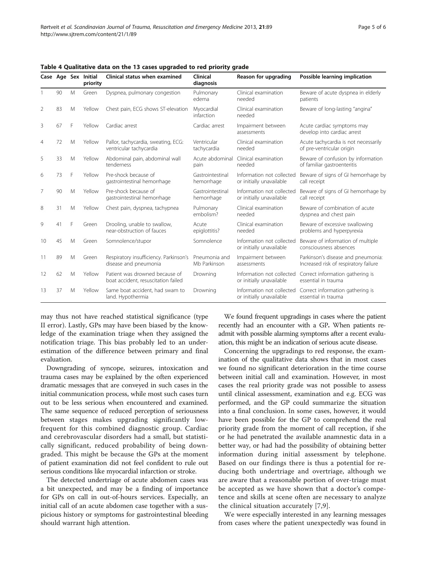|                |    |   | Case Age Sex Initial<br>priority | Clinical status when examined                                         | Clinical<br>diagnosis          | Reason for upgrading                                  | Possible learning implication                                               |
|----------------|----|---|----------------------------------|-----------------------------------------------------------------------|--------------------------------|-------------------------------------------------------|-----------------------------------------------------------------------------|
|                | 90 | M | Green                            | Dyspnea, pulmonary congestion                                         | Pulmonary<br>edema             | Clinical examination<br>needed                        | Beware of acute dyspnea in elderly<br>patients                              |
| 2              | 83 | M | Yellow                           | Chest pain, ECG shows ST-elevation                                    | Myocardial<br>infarction       | Clinical examination<br>needed                        | Beware of long-lasting "angina"                                             |
| 3              | 67 | F | Yellow                           | Cardiac arrest                                                        | Cardiac arrest                 | Impairment between<br>assessments                     | Acute cardiac symptoms may<br>develop into cardiac arrest                   |
| $\overline{4}$ | 72 | M | Yellow                           | Pallor, tachycardia, sweating, ECG:<br>ventricular tachycardia        | Ventricular<br>tachycardia     | Clinical examination<br>needed                        | Acute tachycardia is not necessarily<br>of pre-ventricular origin           |
| 5              | 33 | M | Yellow                           | Abdominal pain, abdominal wall<br>tenderness                          | Acute abdominal<br>pain        | Clinical examination<br>needed                        | Beware of confusion by information<br>of familiar gastroenteritis           |
| 6              | 73 | F | Yellow                           | Pre-shock because of<br>gastrointestinal hemorrhage                   | Gastrointestinal<br>hemorrhage | Information not collected<br>or initially unavailable | Beware of signs of GI hemorrhage by<br>call receipt                         |
| 7              | 90 | M | Yellow                           | Pre-shock because of<br>gastrointestinal hemorrhage                   | Gastrointestinal<br>hemorrhage | Information not collected<br>or initially unavailable | Beware of signs of GI hemorrhage by<br>call receipt                         |
| 8              | 31 | M | Yellow                           | Chest pain, dyspnea, tachypnea                                        | Pulmonary<br>embolism?         | Clinical examination<br>needed                        | Beware of combination of acute<br>dyspnea and chest pain                    |
| 9              | 41 | F | Green                            | Drooling, unable to swallow,<br>near-obstruction of fauces            | Acute<br>epiglottitis?         | Clinical examination<br>needed                        | Beware of excessive swallowing<br>problems and hyperpyrexia                 |
| 10             | 45 | M | Green                            | Somnolence/stupor                                                     | Somnolence                     | Information not collected<br>or initially unavailable | Beware of information of multiple<br>consciousness absences                 |
| 11             | 89 | M | Green                            | Respiratory insufficiency. Parkinson's<br>disease and pneumonia       | Pneumonia and<br>Mb Parkinson  | Impairment between<br>assessments                     | Parkinson's disease and pneumonia:<br>Increased risk of respiratory failure |
| 12             | 62 | M | Yellow                           | Patient was drowned because of<br>boat accident, resuscitation failed | Drowning                       | Information not collected<br>or initially unavailable | Correct information gathering is<br>essential in trauma                     |
| 13             | 37 | M | Yellow                           | Same boat accident, had swam to<br>land. Hypothermia                  | Drowning                       | Information not collected<br>or initially unavailable | Correct information gathering is<br>essential in trauma                     |

<span id="page-4-0"></span>Table 4 Qualitative data on the 13 cases upgraded to red priority grade

may thus not have reached statistical significance (type II error). Lastly, GPs may have been biased by the knowledge of the examination triage when they assigned the notification triage. This bias probably led to an underestimation of the difference between primary and final evaluation.

Downgrading of syncope, seizures, intoxication and trauma cases may be explained by the often experienced dramatic messages that are conveyed in such cases in the initial communication process, while most such cases turn out to be less serious when encountered and examined. The same sequence of reduced perception of seriousness between stages makes upgrading significantly lowfrequent for this combined diagnostic group. Cardiac and cerebrovascular disorders had a small, but statistically significant, reduced probability of being downgraded. This might be because the GPs at the moment of patient examination did not feel confident to rule out serious conditions like myocardial infarction or stroke.

The detected undertriage of acute abdomen cases was a bit unexpected, and may be a finding of importance for GPs on call in out-of-hours services. Especially, an initial call of an acute abdomen case together with a suspicious history or symptoms for gastrointestinal bleeding should warrant high attention.

We found frequent upgradings in cases where the patient recently had an encounter with a GP. When patients readmit with possible alarming symptoms after a recent evaluation, this might be an indication of serious acute disease.

Concerning the upgradings to red response, the examination of the qualitative data shows that in most cases we found no significant deterioration in the time course between initial call and examination. However, in most cases the real priority grade was not possible to assess until clinical assessment, examination and e.g. ECG was performed, and the GP could summarize the situation into a final conclusion. In some cases, however, it would have been possible for the GP to comprehend the real priority grade from the moment of call reception, if she or he had penetrated the available anamnestic data in a better way, or had had the possibility of obtaining better information during initial assessment by telephone. Based on our findings there is thus a potential for reducing both undertriage and overtriage, although we are aware that a reasonable portion of over-triage must be accepted as we have shown that a doctor's competence and skills at scene often are necessary to analyze the clinical situation accurately [[7,9](#page-5-0)].

We were especially interested in any learning messages from cases where the patient unexpectedly was found in